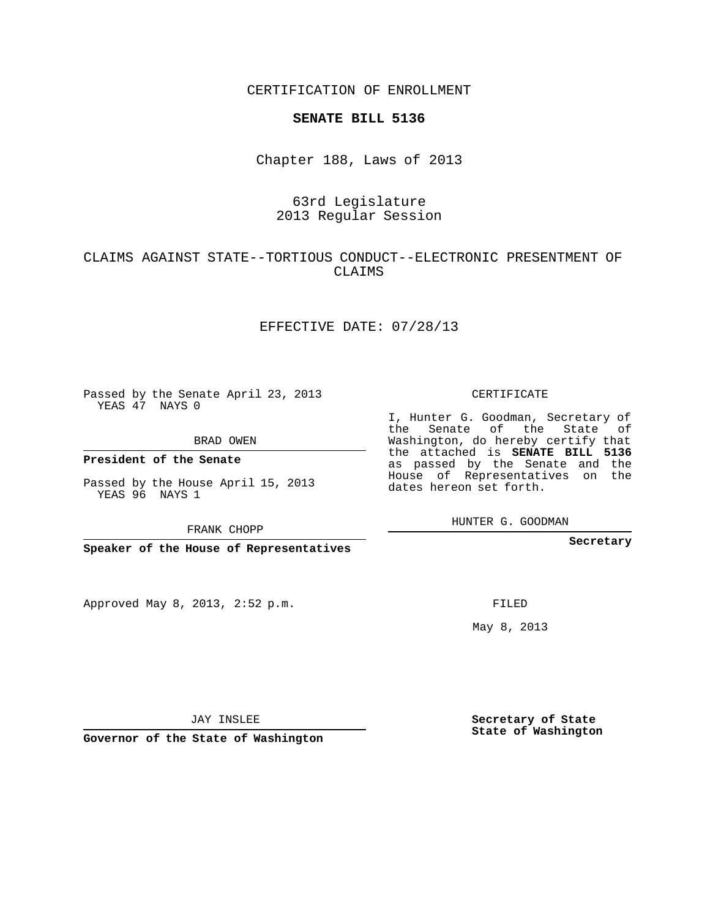CERTIFICATION OF ENROLLMENT

#### **SENATE BILL 5136**

Chapter 188, Laws of 2013

# 63rd Legislature 2013 Regular Session

# CLAIMS AGAINST STATE--TORTIOUS CONDUCT--ELECTRONIC PRESENTMENT OF CLAIMS

## EFFECTIVE DATE: 07/28/13

Passed by the Senate April 23, 2013 YEAS 47 NAYS 0

BRAD OWEN

**President of the Senate**

Passed by the House April 15, 2013 YEAS 96 NAYS 1

FRANK CHOPP

**Speaker of the House of Representatives**

Approved May 8, 2013, 2:52 p.m.

CERTIFICATE

I, Hunter G. Goodman, Secretary of the Senate of the State of Washington, do hereby certify that the attached is **SENATE BILL 5136** as passed by the Senate and the House of Representatives on the dates hereon set forth.

HUNTER G. GOODMAN

**Secretary**

FILED

May 8, 2013

**Secretary of State State of Washington**

JAY INSLEE

**Governor of the State of Washington**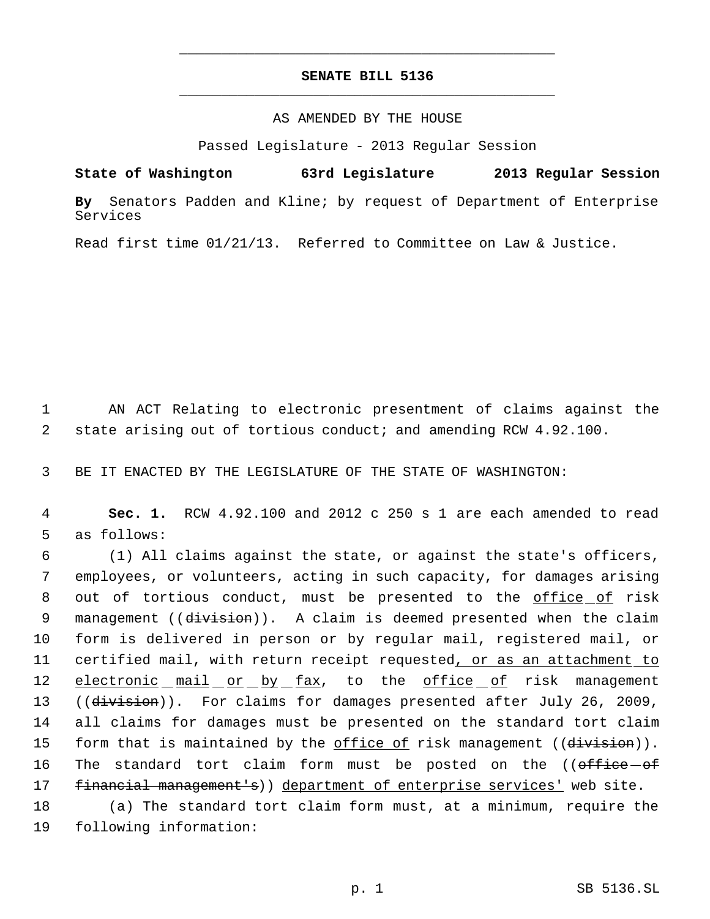# **SENATE BILL 5136** \_\_\_\_\_\_\_\_\_\_\_\_\_\_\_\_\_\_\_\_\_\_\_\_\_\_\_\_\_\_\_\_\_\_\_\_\_\_\_\_\_\_\_\_\_

\_\_\_\_\_\_\_\_\_\_\_\_\_\_\_\_\_\_\_\_\_\_\_\_\_\_\_\_\_\_\_\_\_\_\_\_\_\_\_\_\_\_\_\_\_

### AS AMENDED BY THE HOUSE

Passed Legislature - 2013 Regular Session

**State of Washington 63rd Legislature 2013 Regular Session**

**By** Senators Padden and Kline; by request of Department of Enterprise Services

Read first time 01/21/13. Referred to Committee on Law & Justice.

 1 AN ACT Relating to electronic presentment of claims against the 2 state arising out of tortious conduct; and amending RCW 4.92.100.

3 BE IT ENACTED BY THE LEGISLATURE OF THE STATE OF WASHINGTON:

 4 **Sec. 1.** RCW 4.92.100 and 2012 c 250 s 1 are each amended to read 5 as follows:

 6 (1) All claims against the state, or against the state's officers, 7 employees, or volunteers, acting in such capacity, for damages arising 8 out of tortious conduct, must be presented to the office of risk 9 management ((division)). A claim is deemed presented when the claim 10 form is delivered in person or by regular mail, registered mail, or 11 certified mail, with return receipt requested, or as an attachment to 12 electronic mail or by fax, to the office of risk management 13 ((division)). For claims for damages presented after July 26, 2009, 14 all claims for damages must be presented on the standard tort claim 15 form that is maintained by the office of risk management ((division)). 16 The standard tort claim form must be posted on the ((office-of 17 financial management's)) department of enterprise services' web site.

18 (a) The standard tort claim form must, at a minimum, require the 19 following information: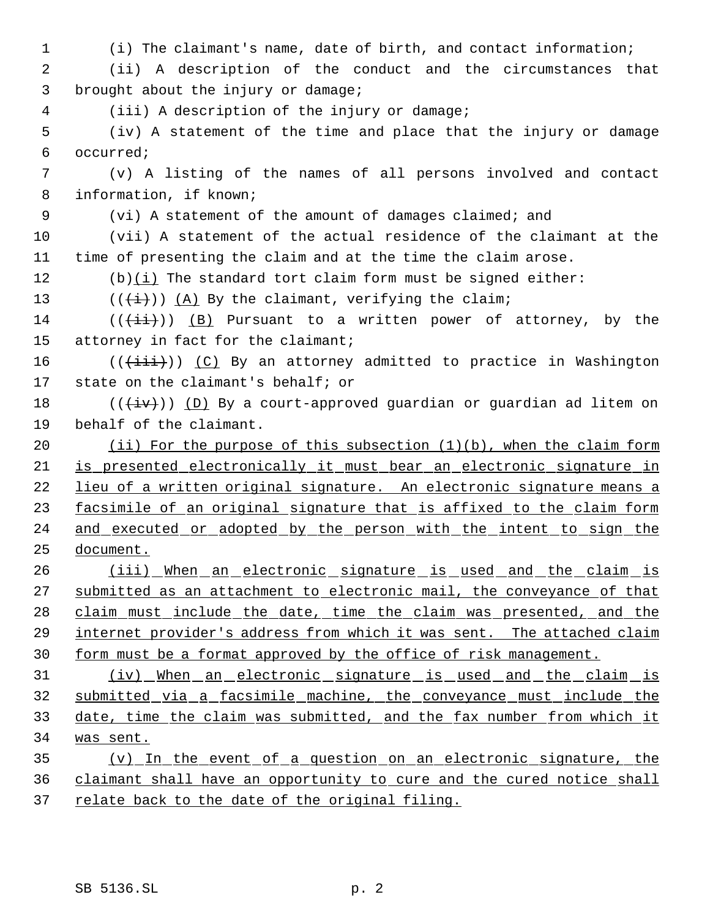(i) The claimant's name, date of birth, and contact information; (ii) A description of the conduct and the circumstances that 3 brought about the injury or damage; (iii) A description of the injury or damage; (iv) A statement of the time and place that the injury or damage occurred; (v) A listing of the names of all persons involved and contact information, if known; (vi) A statement of the amount of damages claimed; and (vii) A statement of the actual residence of the claimant at the time of presenting the claim and at the time the claim arose. 12 (b) $(i)$  The standard tort claim form must be signed either:  $((\overleftrightarrow{t}))$   $(A)$  By the claimant, verifying the claim; 14 ( $(\overrightarrow{\pm i})$ ) (B) Pursuant to a written power of attorney, by the 15 attorney in fact for the claimant; 16 ( $(\{\pm i\}\})$  (C) By an attorney admitted to practice in Washington state on the claimant's behalf; or  $((\overleftrightarrow{iv}))$  (D) By a court-approved guardian or guardian ad litem on behalf of the claimant. (ii) For the purpose of this subsection (1)(b), when the claim form is presented electronically it must bear an electronic signature in lieu of a written original signature. An electronic signature means a 23 facsimile of an original signature that is affixed to the claim form 24 and executed or adopted by the person with the intent to sign the document. 26 (iii) When an electronic signature is used and the claim is 27 submitted as an attachment to electronic mail, the conveyance of that claim must include the date, time the claim was presented, and the internet provider's address from which it was sent. The attached claim form must be a format approved by the office of risk management. (iv) When an electronic signature is used and the claim is submitted via a facsimile machine, the conveyance must include the date, time the claim was submitted, and the fax number from which it was sent. (v) In the event of a question on an electronic signature, the claimant shall have an opportunity to cure and the cured notice shall

37 relate back to the date of the original filing.